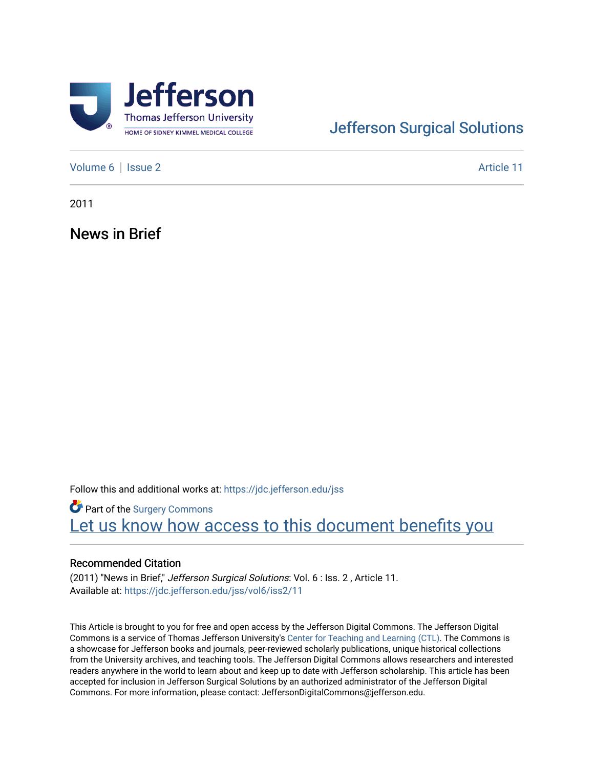

## [Jefferson Surgical Solutions](https://jdc.jefferson.edu/jss)

[Volume 6](https://jdc.jefferson.edu/jss/vol6) | [Issue 2](https://jdc.jefferson.edu/jss/vol6/iss2) Article 11

2011

News in Brief

Follow this and additional works at: [https://jdc.jefferson.edu/jss](https://jdc.jefferson.edu/jss?utm_source=jdc.jefferson.edu%2Fjss%2Fvol6%2Fiss2%2F11&utm_medium=PDF&utm_campaign=PDFCoverPages) 

**Part of the Surgery Commons** Let us know how access to this document benefits you

## Recommended Citation

(2011) "News in Brief," Jefferson Surgical Solutions: Vol. 6 : Iss. 2 , Article 11. Available at: [https://jdc.jefferson.edu/jss/vol6/iss2/11](https://jdc.jefferson.edu/jss/vol6/iss2/11?utm_source=jdc.jefferson.edu%2Fjss%2Fvol6%2Fiss2%2F11&utm_medium=PDF&utm_campaign=PDFCoverPages)

This Article is brought to you for free and open access by the Jefferson Digital Commons. The Jefferson Digital Commons is a service of Thomas Jefferson University's [Center for Teaching and Learning \(CTL\)](http://www.jefferson.edu/university/teaching-learning.html/). The Commons is a showcase for Jefferson books and journals, peer-reviewed scholarly publications, unique historical collections from the University archives, and teaching tools. The Jefferson Digital Commons allows researchers and interested readers anywhere in the world to learn about and keep up to date with Jefferson scholarship. This article has been accepted for inclusion in Jefferson Surgical Solutions by an authorized administrator of the Jefferson Digital Commons. For more information, please contact: JeffersonDigitalCommons@jefferson.edu.